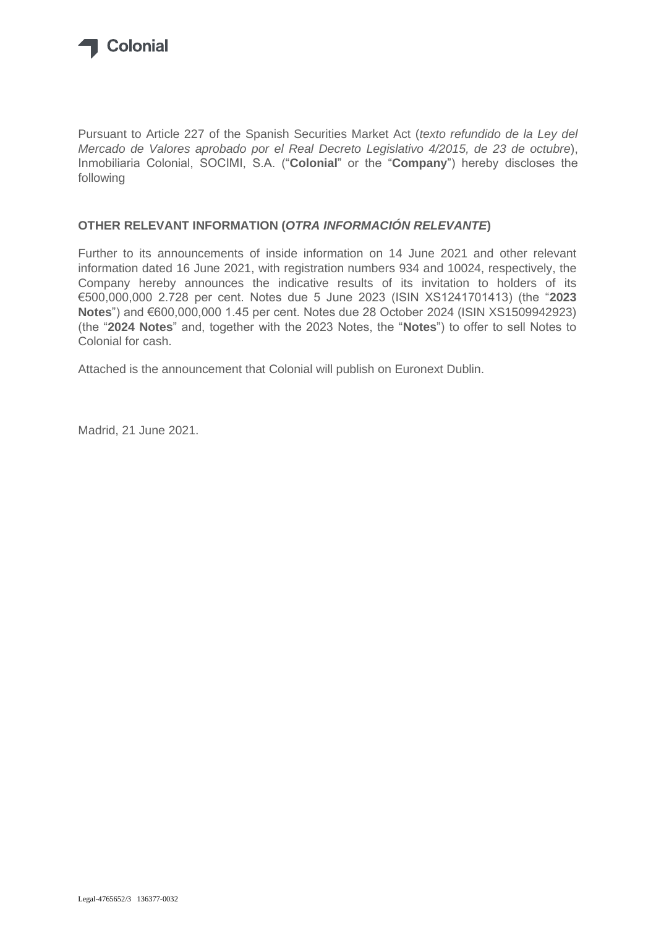

Pursuant to Article 227 of the Spanish Securities Market Act (*texto refundido de la Ley del Mercado de Valores aprobado por el Real Decreto Legislativo 4/2015, de 23 de octubre*), Inmobiliaria Colonial, SOCIMI, S.A. ("**Colonial**" or the "**Company**") hereby discloses the following

## **OTHER RELEVANT INFORMATION (***OTRA INFORMACIÓN RELEVANTE***)**

Further to its announcements of inside information on 14 June 2021 and other relevant information dated 16 June 2021, with registration numbers 934 and 10024, respectively, the Company hereby announces the indicative results of its invitation to holders of its €500,000,000 2.728 per cent. Notes due 5 June 2023 (ISIN XS1241701413) (the "**2023 Notes**") and €600,000,000 1.45 per cent. Notes due 28 October 2024 (ISIN XS1509942923) (the "**2024 Notes**" and, together with the 2023 Notes, the "**Notes**") to offer to sell Notes to Colonial for cash.

Attached is the announcement that Colonial will publish on Euronext Dublin.

Madrid, 21 June 2021.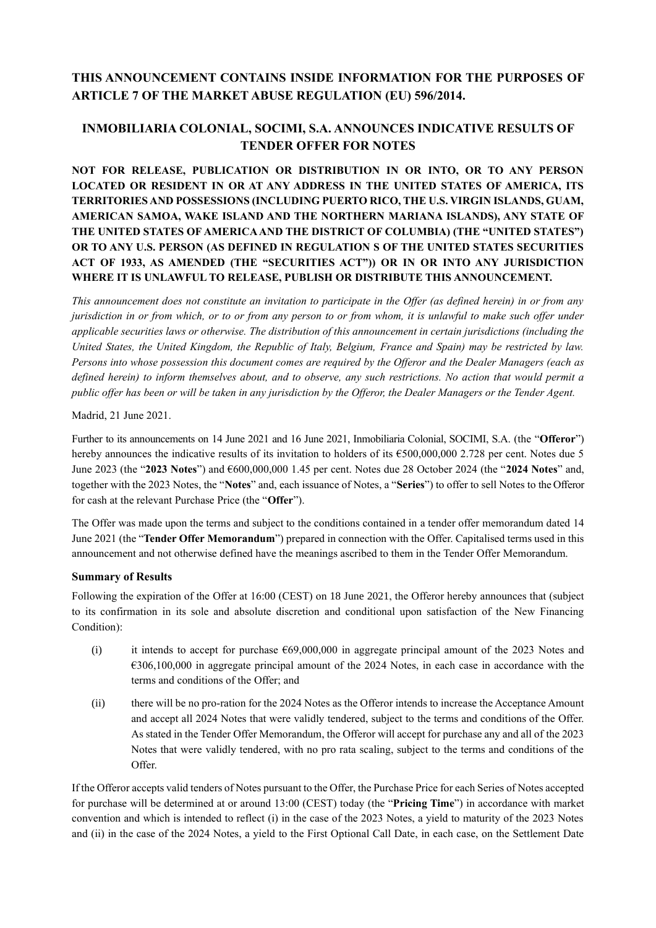# **THIS ANNOUNCEMENT CONTAINS INSIDE INFORMATION FOR THE PURPOSES OF ARTICLE 7 OF THE MARKET ABUSE REGULATION (EU) 596/2014.**

# **INMOBILIARIA COLONIAL, SOCIMI, S.A. ANNOUNCES INDICATIVE RESULTS OF TENDER OFFER FOR NOTES**

**NOT FOR RELEASE, PUBLICATION OR DISTRIBUTION IN OR INTO, OR TO ANY PERSON LOCATED OR RESIDENT IN OR AT ANY ADDRESS IN THE UNITED STATES OF AMERICA, ITS TERRITORIES AND POSSESSIONS (INCLUDING PUERTO RICO, THE U.S. VIRGIN ISLANDS, GUAM, AMERICAN SAMOA, WAKE ISLAND AND THE NORTHERN MARIANA ISLANDS), ANY STATE OF THE UNITED STATES OF AMERICA AND THE DISTRICT OF COLUMBIA) (THE "UNITED STATES") OR TO ANY U.S. PERSON (AS DEFINED IN REGULATION S OF THE UNITED STATES SECURITIES ACT OF 1933, AS AMENDED (THE "SECURITIES ACT")) OR IN OR INTO ANY JURISDICTION WHERE IT IS UNLAWFUL TO RELEASE, PUBLISH OR DISTRIBUTE THIS ANNOUNCEMENT.**

*This announcement does not constitute an invitation to participate in the Offer (as defined herein) in or from any jurisdiction in or from which, or to or from any person to or from whom, it is unlawful to make such offer under applicable securities laws or otherwise. The distribution of this announcement in certain jurisdictions (including the United States, the United Kingdom, the Republic of Italy, Belgium, France and Spain) may be restricted by law. Persons into whose possession this document comes are required by the Offeror and the Dealer Managers (each as defined herein) to inform themselves about, and to observe, any such restrictions. No action that would permit a public offer has been or will be taken in any jurisdiction by the Offeror, the Dealer Managers or the Tender Agent.*

Madrid, 21 June 2021.

Further to its announcements on 14 June 2021 and 16 June 2021, Inmobiliaria Colonial, SOCIMI, S.A. (the "**Offeror**") hereby announces the indicative results of its invitation to holders of its  $\epsilon$ 500,000,000 2.728 per cent. Notes due 5 June 2023 (the "**2023 Notes**") and €600,000,000 1.45 per cent. Notes due 28 October 2024 (the "**2024 Notes**" and, together with the 2023 Notes, the "**Notes**" and, each issuance of Notes, a "**Series**") to offer to sell Notes to the Offeror for cash at the relevant Purchase Price (the "**Offer**").

The Offer was made upon the terms and subject to the conditions contained in a tender offer memorandum dated 14 June 2021 (the "**Tender Offer Memorandum**") prepared in connection with the Offer. Capitalised terms used in this announcement and not otherwise defined have the meanings ascribed to them in the Tender Offer Memorandum.

#### **Summary of Results**

Following the expiration of the Offer at 16:00 (CEST) on 18 June 2021, the Offeror hereby announces that (subject to its confirmation in its sole and absolute discretion and conditional upon satisfaction of the New Financing Condition):

- (i) it intends to accept for purchase  $669,000,000$  in aggregate principal amount of the 2023 Notes and €306,100,000 in aggregate principal amount of the 2024 Notes, in each case in accordance with the terms and conditions of the Offer; and
- (ii) there will be no pro-ration for the 2024 Notes as the Offeror intends to increase the Acceptance Amount and accept all 2024 Notes that were validly tendered, subject to the terms and conditions of the Offer. As stated in the Tender Offer Memorandum, the Offeror will accept for purchase any and all of the 2023 Notes that were validly tendered, with no pro rata scaling, subject to the terms and conditions of the Offer.

If the Offeror accepts valid tenders of Notes pursuant to the Offer, the Purchase Price for each Series of Notes accepted for purchase will be determined at or around 13:00 (CEST) today (the "**Pricing Time**") in accordance with market convention and which is intended to reflect (i) in the case of the 2023 Notes, a yield to maturity of the 2023 Notes and (ii) in the case of the 2024 Notes, a yield to the First Optional Call Date, in each case, on the Settlement Date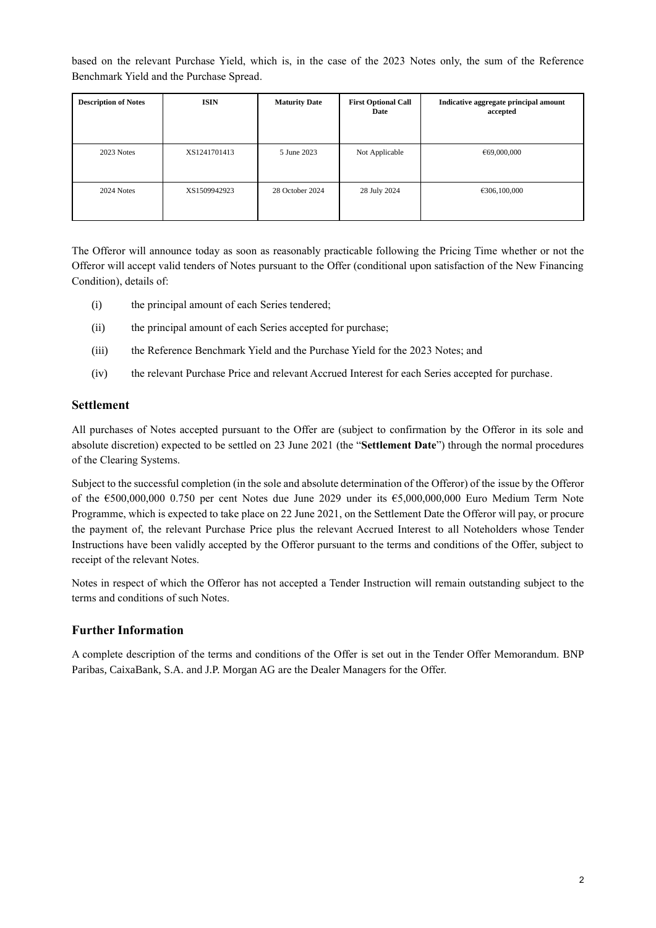based on the relevant Purchase Yield, which is, in the case of the 2023 Notes only, the sum of the Reference Benchmark Yield and the Purchase Spread.

| <b>Description of Notes</b> | <b>ISIN</b>  | <b>Maturity Date</b> | <b>First Optional Call</b><br>Date | Indicative aggregate principal amount<br>accepted |
|-----------------------------|--------------|----------------------|------------------------------------|---------------------------------------------------|
| 2023 Notes                  | XS1241701413 | 5 June 2023          | Not Applicable                     | €69,000,000                                       |
| 2024 Notes                  | XS1509942923 | 28 October 2024      | 28 July 2024                       | €306,100,000                                      |

The Offeror will announce today as soon as reasonably practicable following the Pricing Time whether or not the Offeror will accept valid tenders of Notes pursuant to the Offer (conditional upon satisfaction of the New Financing Condition), details of:

- (i) the principal amount of each Series tendered;
- (ii) the principal amount of each Series accepted for purchase;
- (iii) the Reference Benchmark Yield and the Purchase Yield for the 2023 Notes; and
- (iv) the relevant Purchase Price and relevant Accrued Interest for each Series accepted for purchase.

### **Settlement**

All purchases of Notes accepted pursuant to the Offer are (subject to confirmation by the Offeror in its sole and absolute discretion) expected to be settled on 23 June 2021 (the "**Settlement Date**") through the normal procedures of the Clearing Systems.

Subject to the successful completion (in the sole and absolute determination of the Offeror) of the issue by the Offeror of the €500,000,000 0.750 per cent Notes due June 2029 under its €5,000,000,000 Euro Medium Term Note Programme, which is expected to take place on 22 June 2021, on the Settlement Date the Offeror will pay, or procure the payment of, the relevant Purchase Price plus the relevant Accrued Interest to all Noteholders whose Tender Instructions have been validly accepted by the Offeror pursuant to the terms and conditions of the Offer, subject to receipt of the relevant Notes.

Notes in respect of which the Offeror has not accepted a Tender Instruction will remain outstanding subject to the terms and conditions of such Notes.

## **Further Information**

A complete description of the terms and conditions of the Offer is set out in the Tender Offer Memorandum. BNP Paribas, CaixaBank, S.A. and J.P. Morgan AG are the Dealer Managers for the Offer.